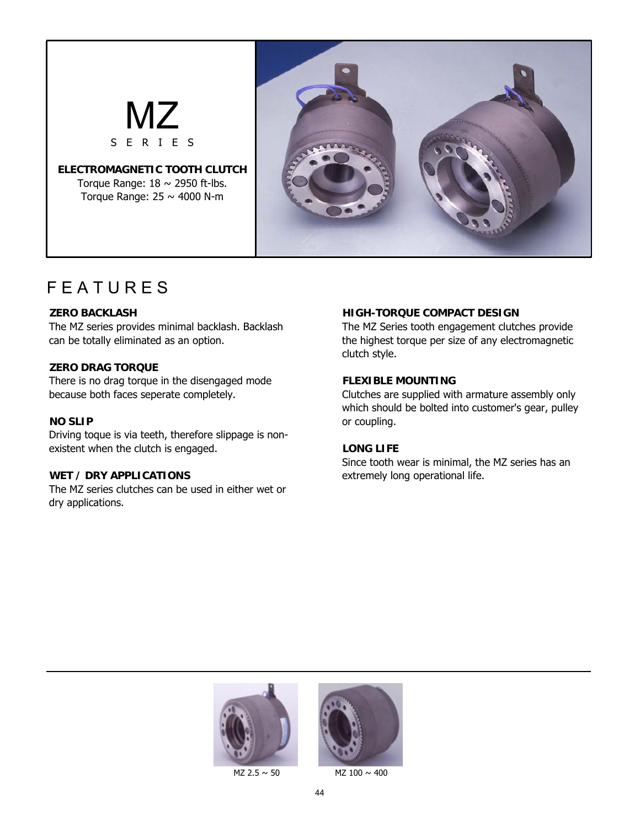

## **F E A T U R E S**

The MZ series provides minimal backlash. Backlash can be totally eliminated as an option.

## **ZERO DRAG TORQUE**

There is no drag torque in the disengaged mode because both faces seperate completely.

## **NO SLIP**

Driving toque is via teeth, therefore slippage is nonexistent when the clutch is engaged.

## **WET / DRY APPLICATIONS**

The MZ series clutches can be used in either wet or dry applications.

## **ZERO BACKLASH HIGH-TORQUE COMPACT DESIGN**

The MZ Series tooth engagement clutches provide the highest torque per size of any electromagnetic clutch style.

## **FLEXIBLE MOUNTING**

Clutches are supplied with armature assembly only which should be bolted into customer's gear, pulley or coupling.

## **LONG LIFE**

Since tooth wear is minimal, the MZ series has an extremely long operational life.





 $MZ$  2.5  $\sim$  50 MZ 100  $\sim$  400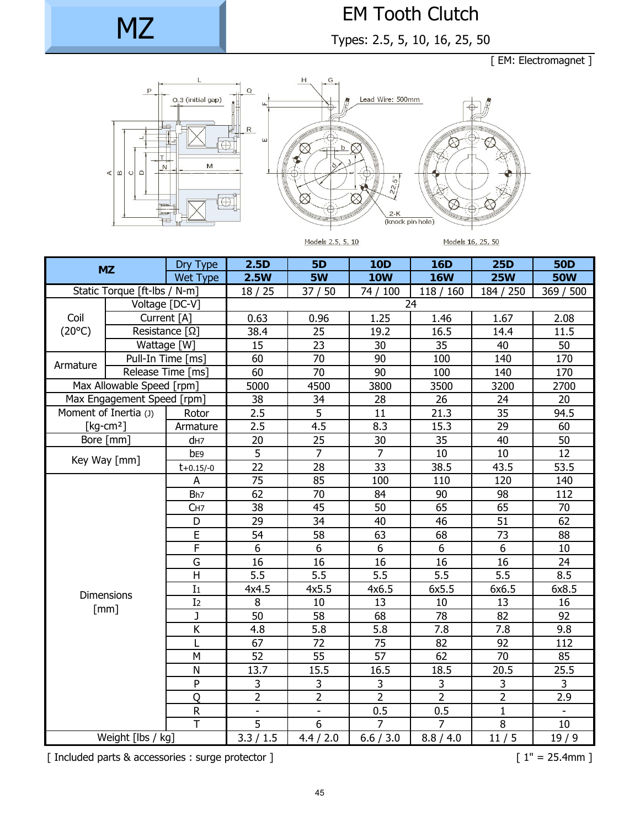MZ

# EM Tooth Clutch

Types: 2.5, 5, 10, 16, 25, 50

[ EM: Electromagnet ]



Models 2.5, 5, 10

Models 16, 25, 50

| <b>MZ</b>                    |                                   | Dry Type                | 2.5D                       | <b>5D</b>                | <b>10D</b>       | <b>16D</b>       | <b>25D</b>       | <b>50D</b> |  |  |
|------------------------------|-----------------------------------|-------------------------|----------------------------|--------------------------|------------------|------------------|------------------|------------|--|--|
|                              |                                   | Wet Type                | 2.5W                       | 5W                       | <b>10W</b>       | <b>16W</b>       | <b>25W</b>       | <b>50W</b> |  |  |
| Static Torque [ft-lbs / N-m] |                                   |                         | 37/50<br>18/25<br>74 / 100 |                          | 118/160          | 184 / 250        | 369 / 500        |            |  |  |
|                              |                                   | Voltage [DC-V]          |                            | 24                       |                  |                  |                  |            |  |  |
| Coil<br>$(20^{\circ}C)$      | Current [A]                       |                         | 0.63                       | 0.96                     | 1.25             | 1.46             | 1.67             | 2.08       |  |  |
|                              | Resistance $\lceil \Omega \rceil$ |                         | 38.4                       | 25                       | 19.2             | 16.5             | 14.4             | 11.5       |  |  |
|                              | Wattage [W]                       |                         | 15<br>60                   | 23                       | 30               | 35               | 40               | 50         |  |  |
| Armature                     |                                   | Pull-In Time [ms]       |                            | 70                       | 90               | 100              | 140              | 170        |  |  |
|                              | Release Time [ms]                 |                         | 60                         | 70                       | 90               | 100              | 140              | 170        |  |  |
| Max Allowable Speed [rpm]    |                                   |                         | 5000                       | 4500                     | 3800             | 3500             | 3200             | 2700       |  |  |
| Max Engagement Speed [rpm]   |                                   |                         | 38                         | 34                       | 28               | 26               | 24               | 20         |  |  |
|                              | Moment of Inertia (J)             | Rotor                   | 2.5                        | $\overline{5}$           | 11               | 21.3             | 35               | 94.5       |  |  |
| [ $kg$ -cm <sup>2</sup> ]    |                                   | Armature                | 2.5                        | 4.5                      | 8.3              | 15.3             | 29               | 60         |  |  |
| Bore [mm]                    |                                   | d <sub>H7</sub>         | 20                         | 25                       | 30               | 35               | 40               | 50         |  |  |
|                              | Key Way [mm]                      | b <sub>E9</sub>         | 5                          | $\overline{7}$           | $\overline{7}$   | 10               | 10               | 12         |  |  |
|                              |                                   | $t + 0.15/-0$           | 22                         | 28                       | 33               | 38.5             | 43.5             | 53.5       |  |  |
|                              |                                   | A                       | 75                         | 85                       | 100              | 110              | 120              | 140        |  |  |
|                              |                                   | Bh <sub>7</sub>         | 62                         | 70                       | 84               | 90               | 98               | 112        |  |  |
|                              |                                   | C <sub>H7</sub>         | 38                         | 45                       | 50               | 65               | 65               | 70         |  |  |
|                              |                                   | D                       | 29                         | 34                       | 40               | 46               | 51               | 62         |  |  |
|                              |                                   | E                       | 54                         | 58                       | 63               | 68               | 73               | 88         |  |  |
|                              |                                   | F                       | 6                          | 6                        | 6                | 6                | 6                | 10         |  |  |
|                              |                                   | G<br>H                  | 16                         | 16                       | 16               | 16               | 16               | 24         |  |  |
|                              | <b>Dimensions</b><br>[mm]         |                         | $\overline{5.5}$           | $\overline{5.5}$         | $\overline{5.5}$ | $\overline{5.5}$ | $\overline{5.5}$ | 8.5        |  |  |
|                              |                                   |                         | 4x4.5                      | 4x5.5                    | 4x6.5            | 6x5.5            | 6x6.5            | 6x8.5      |  |  |
|                              |                                   |                         | 8                          | 10                       | 13               | 10               | 13               | 16         |  |  |
|                              |                                   | $\mathbf{J}$            | $\overline{50}$            | $\overline{58}$          | 68               | $\overline{78}$  | 82               | 92         |  |  |
|                              |                                   | Κ                       | 4.8                        | 5.8                      | 5.8              | 7.8              | 7.8              | 9.8        |  |  |
|                              |                                   |                         | 67                         | 72                       | 75               | 82               | 92               | 112        |  |  |
|                              |                                   | M                       | 52                         | 55                       | 57               | 62               | 70               | 85         |  |  |
|                              |                                   | $\mathsf{N}$            | 13.7                       | 15.5                     | 16.5             | 18.5             | 20.5             | 25.5       |  |  |
|                              |                                   | ${\sf P}$               | 3                          | 3                        | 3                | 3                | 3                | 3          |  |  |
|                              |                                   | Q                       | $\overline{2}$             | $\overline{2}$           | $\overline{2}$   | $\overline{2}$   | $\overline{2}$   | 2.9        |  |  |
|                              |                                   | ${\sf R}$               | $\blacksquare$             | $\overline{\phantom{a}}$ | 0.5              | 0.5              | $\mathbf{1}$     |            |  |  |
|                              |                                   | $\overline{\mathsf{T}}$ | 5                          | 6                        | 7                | 7                | $\overline{8}$   | 10         |  |  |
| Weight [lbs / kg]            |                                   | 3.3 / 1.5               | 4.4 / 2.0                  | 6.6 / 3.0                | 8.8 / 4.0        | 11/5             | 19/9             |            |  |  |

[ Included parts & accessories : surge protector ] [ 1" = 25.4mm ]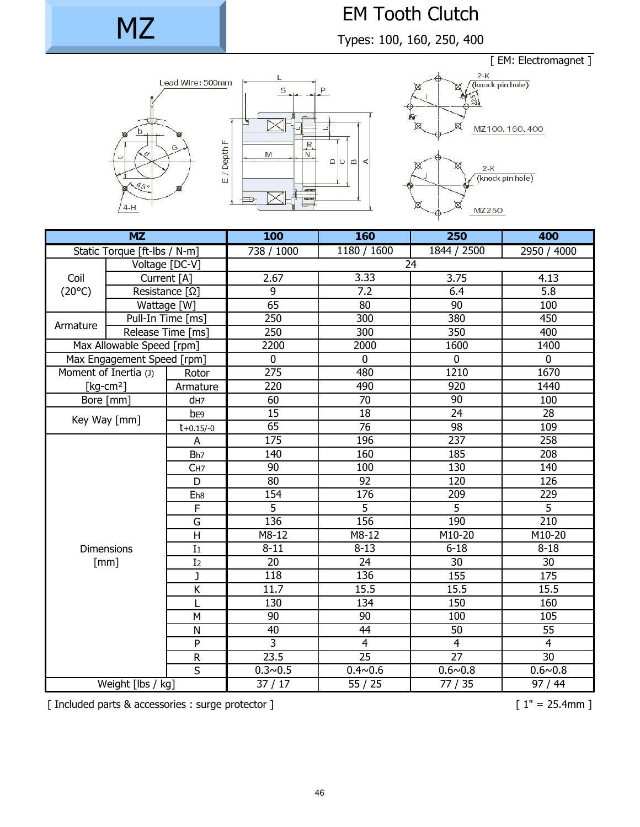# MZ

# EM Tooth Clutch

Types: 100, 160, 250, 400

 $\mathbb{R}$   $\leq$  $\circ$ 





| $\overline{\text{MZ}}$       |                            |                     | 100              | 160             | 250                     | 400              |  |  |
|------------------------------|----------------------------|---------------------|------------------|-----------------|-------------------------|------------------|--|--|
| Static Torque [ft-lbs / N-m] |                            |                     | 738 / 1000       | 1180 / 1600     | 1844 / 2500             | 2950 / 4000      |  |  |
|                              |                            | Voltage [DC-V]      | 24               |                 |                         |                  |  |  |
| Coil<br>$(20^{\circ}C)$      | Current [A]                |                     | 2.67             | 3.33            | 3.75                    | 4.13             |  |  |
|                              | Resistance $[\Omega]$      |                     | 9                | 7.2             | 6.4                     | $\overline{5.8}$ |  |  |
|                              | Wattage [W]                |                     | 65               | 80              | 90                      | 100              |  |  |
| Armature                     |                            | Pull-In Time [ms]   | 250              | 300             | 380                     | 450              |  |  |
|                              | Release Time [ms]          |                     | 250              | 300             | 350                     | 400              |  |  |
| Max Allowable Speed [rpm]    |                            |                     | 2200             | 2000            | 1600                    | 1400             |  |  |
|                              | Max Engagement Speed [rpm] |                     | $\mathbf 0$      | $\mathbf 0$     | $\mathbf 0$             | $\mathbf 0$      |  |  |
|                              | Moment of Inertia (J)      |                     | $\overline{275}$ | 480             | 1210                    | 1670             |  |  |
| [ $kg$ -cm <sup>2</sup> ]    |                            | Armature            | 220              | 490             | 920                     | 1440             |  |  |
| Bore [mm]                    |                            | d <sub>H7</sub>     | 60               | $\overline{70}$ | 90                      | 100              |  |  |
|                              | Key Way [mm]               |                     | 15               | $\overline{18}$ | $\overline{24}$         | 28               |  |  |
|                              |                            | $t + 0.15/-0$       | 65               | $\overline{76}$ | $\overline{98}$         | 109              |  |  |
|                              |                            | A                   | $\overline{175}$ | 196             | 237                     | 258              |  |  |
|                              |                            |                     | 140              | 160             | 185                     | 208              |  |  |
|                              |                            | CH7                 | 90               | 100             | 130                     | 140              |  |  |
|                              |                            | D                   | 80               | $\overline{92}$ | 120                     | 126              |  |  |
|                              |                            | E <sub>h8</sub>     | 154              | 176             | 209                     | 229              |  |  |
|                              |                            | F                   | $\overline{5}$   | $\overline{5}$  | $\overline{5}$          | $\overline{5}$   |  |  |
|                              |                            | G<br>H              | 136              | 156             | 190                     | $\overline{210}$ |  |  |
|                              |                            |                     | M8-12            | M8-12           | M10-20                  | M10-20           |  |  |
| <b>Dimensions</b><br>[mm]    |                            | I <sub>1</sub>      | $8 - 11$         | $8 - 13$        | $6 - 18$                | $8 - 18$         |  |  |
|                              |                            | I <sub>2</sub><br>J | $\overline{20}$  | $\overline{24}$ | $\overline{30}$         | 30               |  |  |
|                              |                            |                     | 118              | 136             | 155                     | 175              |  |  |
|                              |                            | K                   | 11.7             | 15.5            | 15.5                    | 15.5             |  |  |
|                              |                            | $\overline{L}$      | 130              | 134             | 150                     | 160              |  |  |
|                              |                            | M                   | $\overline{90}$  | 90              | 100                     | 105              |  |  |
|                              |                            | N                   | 40               | $\overline{44}$ | 50                      | $\overline{55}$  |  |  |
|                              |                            | P                   | $\overline{3}$   | $\overline{4}$  | $\overline{\mathbf{4}}$ | $\overline{4}$   |  |  |
|                              |                            | ${\sf R}$           | 23.5             | $\overline{25}$ | $\overline{27}$         | 30               |  |  |
| $\overline{\mathsf{S}}$      |                            |                     | $0.3 - 0.5$      | $0.4 \sim 0.6$  | $0.6 \sim 0.8$          | $0.6 - 0.8$      |  |  |
| Weight [lbs / kg]            |                            |                     | 37/17            | 55/25           | 77 / 35                 | 97 / 44          |  |  |

[ Included parts & accessories : surge protector ] [ 1" = 25.4mm ]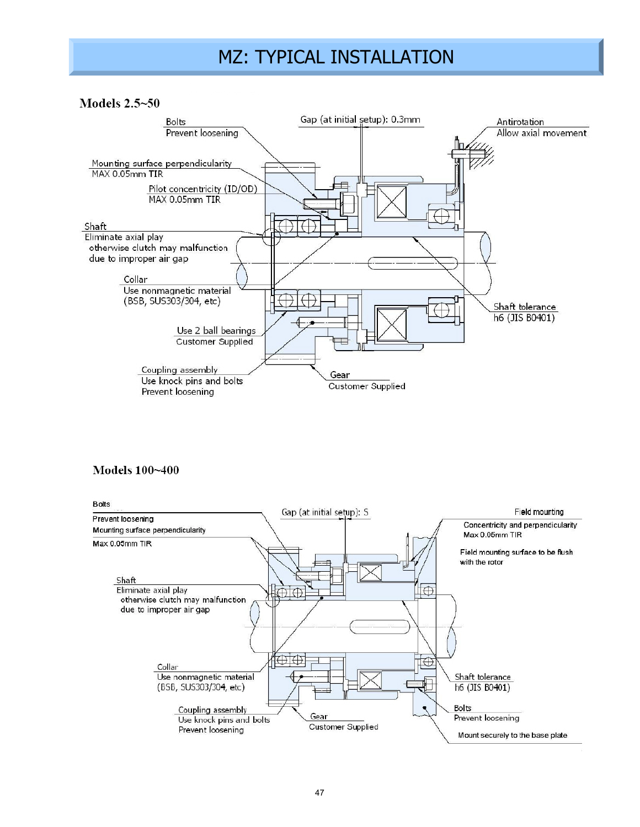## MZ: TYPICAL INSTALLATION

Models 2.5~50



## Models 100~400

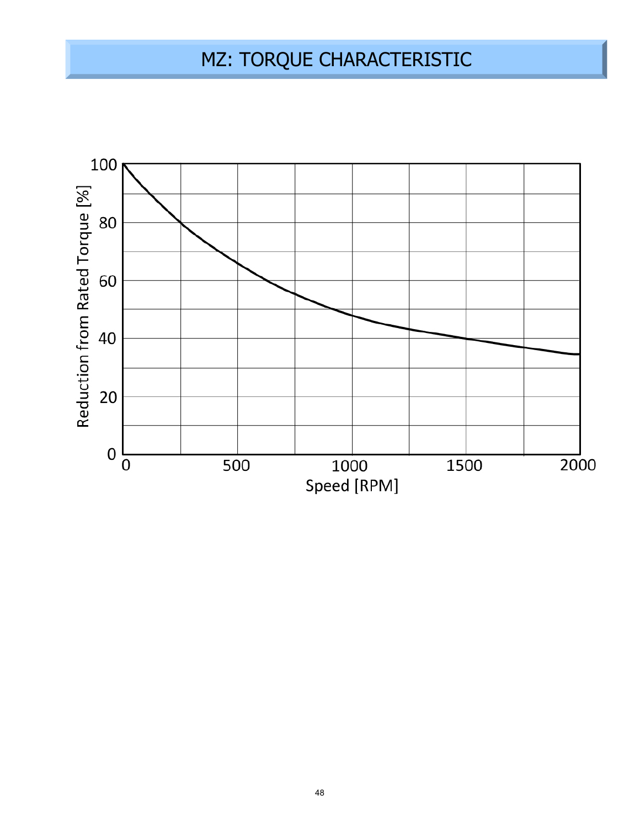# MZ: TORQUE CHARACTERISTIC